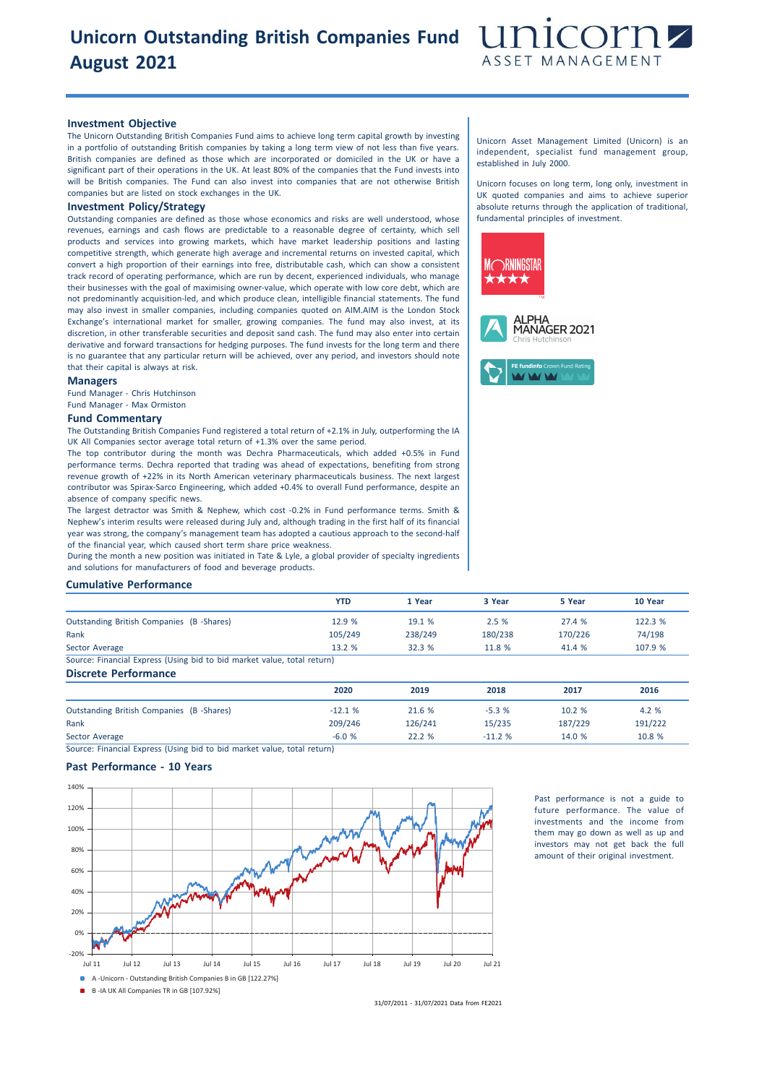# **Unicorn Outstanding British Companies Fund August 2021**



## **Investment Objective**

The Unicorn Outstanding British Companies Fund aims to achieve long term capital growth by investing in a portfolio of outstanding British companies by taking a long term view of not less than five years. British companies are defined as those which are incorporated or domiciled in the UK or have a significant part of their operations in the UK. At least 80% of the companies that the Fund invests into will be British companies. The Fund can also invest into companies that are not otherwise British companies but are listed on stock exchanges in the UK.

# **Investment Policy/Strategy**

Outstanding companies are defined as those whose economics and risks are well understood, whose revenues, earnings and cash flows are predictable to a reasonable degree of certainty, which sell products and services into growing markets, which have market leadership positions and lasting competitive strength, which generate high average and incremental returns on invested capital, which convert a high proportion of their earnings into free, distributable cash, which can show a consistent track record of operating performance, which are run by decent, experienced individuals, who manage their businesses with the goal of maximising owner-value, which operate with low core debt, which are not predominantly acquisition-led, and which produce clean, intelligible financial statements. The fund may also invest in smaller companies, including companies quoted on AIM.AIM is the London Stock Exchange's international market for smaller, growing companies. The fund may also invest, at its discretion, in other transferable securities and deposit sand cash. The fund may also enter into certain derivative and forward transactions for hedging purposes. The fund invests for the long term and there is no guarantee that any particular return will be achieved, over any period, and investors should note that their capital is always at risk.

### **Managers**

Fund Manager - Chris Hutchinson Fund Manager - Max Ormiston

# **Fund Commentary**

The Outstanding British Companies Fund registered a total return of +2.1% in July, outperforming the IA UK All Companies sector average total return of +1.3% over the same period.

The top contributor during the month was Dechra Pharmaceuticals, which added +0.5% in Fund performance terms. Dechra reported that trading was ahead of expectations, benefiting from strong revenue growth of +22% in its North American veterinary pharmaceuticals business. The next largest contributor was Spirax-Sarco Engineering, which added +0.4% to overall Fund performance, despite an absence of company specific news.

The largest detractor was Smith & Nephew, which cost -0.2% in Fund performance terms. Smith & Nephew's interim results were released during July and, although trading in the first half of its financial year was strong, the company's management team has adopted a cautious approach to the second-half of the financial year, which caused short term share price weakness.

During the month a new position was initiated in Tate & Lyle, a global provider of specialty ingredients and solutions for manufacturers of food and beverage products.

## **Cumulative Performance**

|                                                                         | <b>YTD</b> | 1 Year  | 3 Year  | 5 Year  | 10 Year |
|-------------------------------------------------------------------------|------------|---------|---------|---------|---------|
| Outstanding British Companies (B-Shares)                                | 12.9 %     | 19.1 %  | 2.5%    | 27.4 %  | 122.3 % |
| Rank                                                                    | 105/249    | 238/249 | 180/238 | 170/226 | 74/198  |
| Sector Average                                                          | 13.2 %     | 32.3 %  | 11.8 %  | 41.4 %  | 107.9 % |
| Source: Financial Express (Using bid to bid market value, total return) |            |         |         |         |         |

**Discrete Performance**

|                                                 | 2020     | 2019    | 2018     | 2017    | 2016    |
|-------------------------------------------------|----------|---------|----------|---------|---------|
| <b>Outstanding British Companies (B-Shares)</b> | $-12.1%$ | 21.6 %  | $-5.3%$  | 10.2 %  | 4.2 %   |
| Rank                                            | 209/246  | 126/241 | 15/235   | 187/229 | 191/222 |
| Sector Average                                  | $-6.0%$  | 22.2%   | $-11.2%$ | 14.0%   | 10.8 %  |

31/07/2011 - 31/07/2021 Data from FE2021

Source: Financial Express (Using bid to bid market value, total return)

# **Past Performance - 10 Years**



Past performance is not a guide to future performance. The value of investments and the income from them may go down as well as up and investors may not get back the full amount of their original investment.

Unicorn Asset Management Limited (Unicorn) is an independent, specialist fund management group, established in July 2000.

Unicorn focuses on long term, long only, investment in UK quoted companies and aims to achieve superior absolute returns through the application of traditional, fundamental principles of investment.